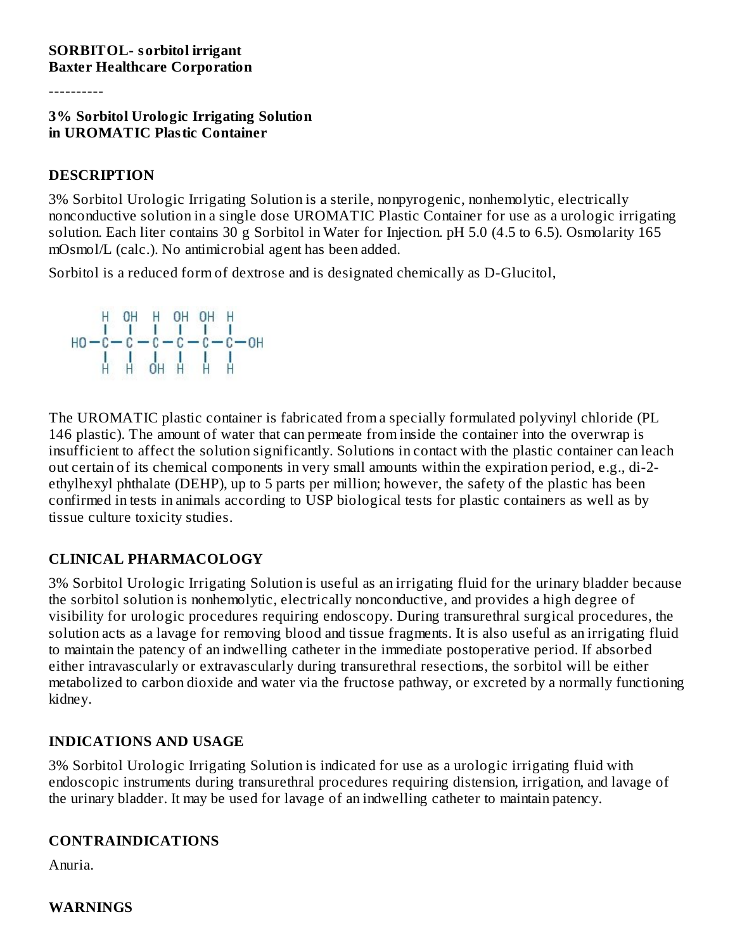----------

#### **3% Sorbitol Urologic Irrigating Solution in UROMATIC Plastic Container**

#### **DESCRIPTION**

3% Sorbitol Urologic Irrigating Solution is a sterile, nonpyrogenic, nonhemolytic, electrically nonconductive solution in a single dose UROMATIC Plastic Container for use as a urologic irrigating solution. Each liter contains 30 g Sorbitol in Water for Injection. pH 5.0 (4.5 to 6.5). Osmolarity 165 mOsmol/L (calc.). No antimicrobial agent has been added.

Sorbitol is a reduced form of dextrose and is designated chemically as D-Glucitol,



The UROMATIC plastic container is fabricated from a specially formulated polyvinyl chloride (PL 146 plastic). The amount of water that can permeate from inside the container into the overwrap is insufficient to affect the solution significantly. Solutions in contact with the plastic container can leach out certain of its chemical components in very small amounts within the expiration period, e.g., di-2 ethylhexyl phthalate (DEHP), up to 5 parts per million; however, the safety of the plastic has been confirmed in tests in animals according to USP biological tests for plastic containers as well as by tissue culture toxicity studies.

#### **CLINICAL PHARMACOLOGY**

3% Sorbitol Urologic Irrigating Solution is useful as an irrigating fluid for the urinary bladder because the sorbitol solution is nonhemolytic, electrically nonconductive, and provides a high degree of visibility for urologic procedures requiring endoscopy. During transurethral surgical procedures, the solution acts as a lavage for removing blood and tissue fragments. It is also useful as an irrigating fluid to maintain the patency of an indwelling catheter in the immediate postoperative period. If absorbed either intravascularly or extravascularly during transurethral resections, the sorbitol will be either metabolized to carbon dioxide and water via the fructose pathway, or excreted by a normally functioning kidney.

## **INDICATIONS AND USAGE**

3% Sorbitol Urologic Irrigating Solution is indicated for use as a urologic irrigating fluid with endoscopic instruments during transurethral procedures requiring distension, irrigation, and lavage of the urinary bladder. It may be used for lavage of an indwelling catheter to maintain patency.

#### **CONTRAINDICATIONS**

Anuria.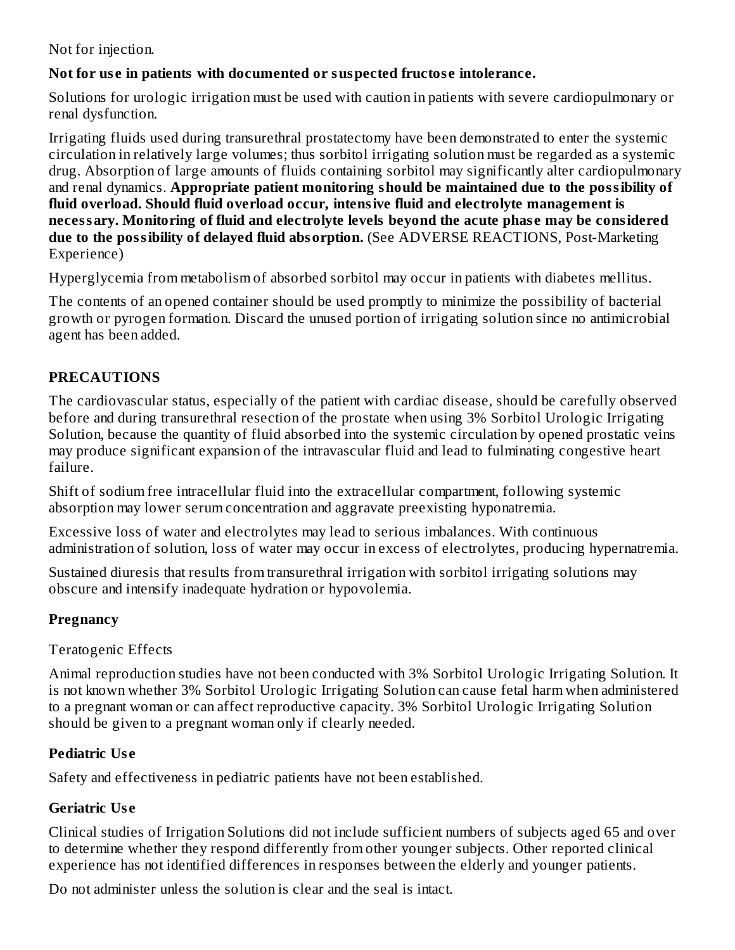Not for injection.

### **Not for us e in patients with documented or suspected fructos e intolerance.**

Solutions for urologic irrigation must be used with caution in patients with severe cardiopulmonary or renal dysfunction.

Irrigating fluids used during transurethral prostatectomy have been demonstrated to enter the systemic circulation in relatively large volumes; thus sorbitol irrigating solution must be regarded as a systemic drug. Absorption of large amounts of fluids containing sorbitol may significantly alter cardiopulmonary and renal dynamics. **Appropriate patient monitoring should be maintained due to the possibility of fluid overload. Should fluid overload occur, intensive fluid and electrolyte management is necessary. Monitoring of fluid and electrolyte levels beyond the acute phas e may be considered due to the possibility of delayed fluid absorption.** (See ADVERSE REACTIONS, Post-Marketing Experience)

Hyperglycemia from metabolism of absorbed sorbitol may occur in patients with diabetes mellitus.

The contents of an opened container should be used promptly to minimize the possibility of bacterial growth or pyrogen formation. Discard the unused portion of irrigating solution since no antimicrobial agent has been added.

## **PRECAUTIONS**

The cardiovascular status, especially of the patient with cardiac disease, should be carefully observed before and during transurethral resection of the prostate when using 3% Sorbitol Urologic Irrigating Solution, because the quantity of fluid absorbed into the systemic circulation by opened prostatic veins may produce significant expansion of the intravascular fluid and lead to fulminating congestive heart failure.

Shift of sodium free intracellular fluid into the extracellular compartment, following systemic absorption may lower serum concentration and aggravate preexisting hyponatremia.

Excessive loss of water and electrolytes may lead to serious imbalances. With continuous administration of solution, loss of water may occur in excess of electrolytes, producing hypernatremia.

Sustained diuresis that results from transurethral irrigation with sorbitol irrigating solutions may obscure and intensify inadequate hydration or hypovolemia.

## **Pregnancy**

Teratogenic Effects

Animal reproduction studies have not been conducted with 3% Sorbitol Urologic Irrigating Solution. It is not known whether 3% Sorbitol Urologic Irrigating Solution can cause fetal harm when administered to a pregnant woman or can affect reproductive capacity. 3% Sorbitol Urologic Irrigating Solution should be given to a pregnant woman only if clearly needed.

#### **Pediatric Us e**

Safety and effectiveness in pediatric patients have not been established.

## **Geriatric Us e**

Clinical studies of Irrigation Solutions did not include sufficient numbers of subjects aged 65 and over to determine whether they respond differently from other younger subjects. Other reported clinical experience has not identified differences in responses between the elderly and younger patients.

Do not administer unless the solution is clear and the seal is intact.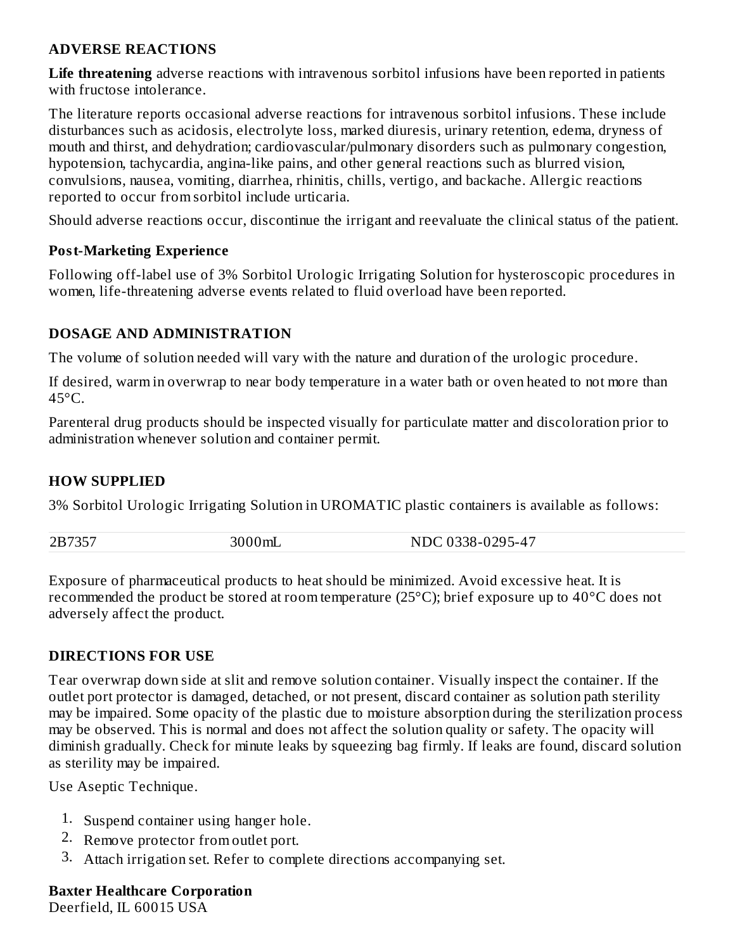#### **ADVERSE REACTIONS**

**Life threatening** adverse reactions with intravenous sorbitol infusions have been reported in patients with fructose intolerance.

The literature reports occasional adverse reactions for intravenous sorbitol infusions. These include disturbances such as acidosis, electrolyte loss, marked diuresis, urinary retention, edema, dryness of mouth and thirst, and dehydration; cardiovascular/pulmonary disorders such as pulmonary congestion, hypotension, tachycardia, angina-like pains, and other general reactions such as blurred vision, convulsions, nausea, vomiting, diarrhea, rhinitis, chills, vertigo, and backache. Allergic reactions reported to occur from sorbitol include urticaria.

Should adverse reactions occur, discontinue the irrigant and reevaluate the clinical status of the patient.

#### **Post-Marketing Experience**

Following off-label use of 3% Sorbitol Urologic Irrigating Solution for hysteroscopic procedures in women, life-threatening adverse events related to fluid overload have been reported.

#### **DOSAGE AND ADMINISTRATION**

The volume of solution needed will vary with the nature and duration of the urologic procedure.

If desired, warm in overwrap to near body temperature in a water bath or oven heated to not more than  $45^{\circ}$ C.

Parenteral drug products should be inspected visually for particulate matter and discoloration prior to administration whenever solution and container permit.

#### **HOW SUPPLIED**

3% Sorbitol Urologic Irrigating Solution in UROMATIC plastic containers is available as follows:

| 2B7357 | ⊇лш∟ | $\lambda$ –<br>$1 - \Delta$<br>г. |
|--------|------|-----------------------------------|
|        |      |                                   |

Exposure of pharmaceutical products to heat should be minimized. Avoid excessive heat. It is recommended the product be stored at room temperature (25 $^{\circ}$ C); brief exposure up to 40 $^{\circ}$ C does not adversely affect the product.

#### **DIRECTIONS FOR USE**

Tear overwrap down side at slit and remove solution container. Visually inspect the container. If the outlet port protector is damaged, detached, or not present, discard container as solution path sterility may be impaired. Some opacity of the plastic due to moisture absorption during the sterilization process may be observed. This is normal and does not affect the solution quality or safety. The opacity will diminish gradually. Check for minute leaks by squeezing bag firmly. If leaks are found, discard solution as sterility may be impaired.

Use Aseptic Technique.

- 1. Suspend container using hanger hole.
- 2. Remove protector from outlet port.
- 3. Attach irrigation set. Refer to complete directions accompanying set.

#### **Baxter Healthcare Corporation**

Deerfield, IL 60015 USA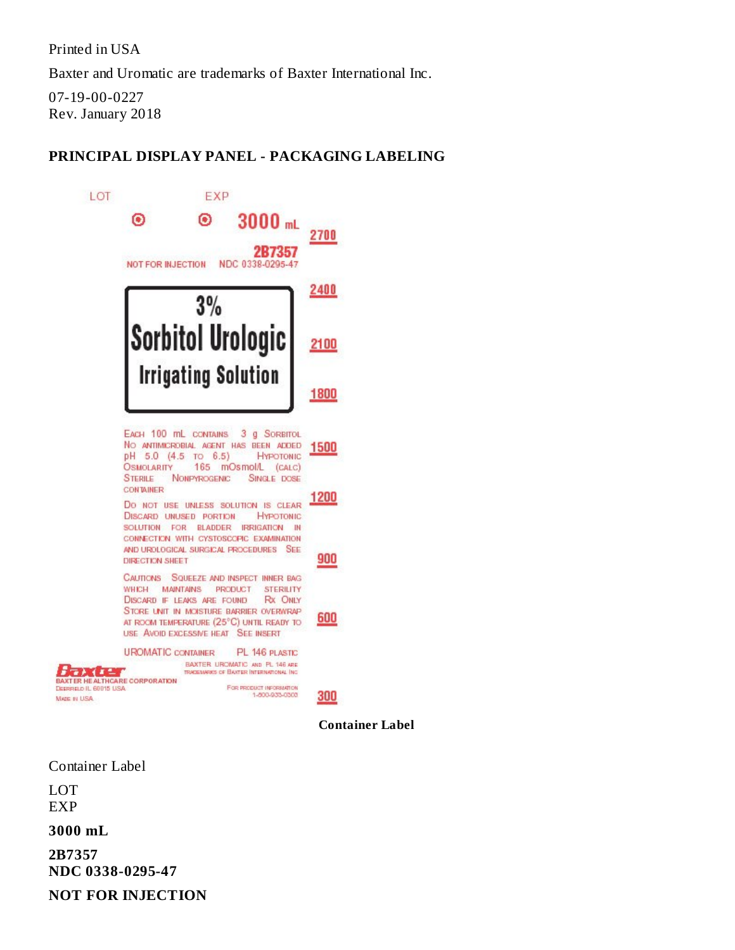Printed in USA

Baxter and Uromatic are trademarks of Baxter International Inc.

07-19-00-0227 Rev. January 2018

## **PRINCIPAL DISPLAY PANEL - PACKAGING LABELING**



**Container Label**

Container Label

LOT EXP

**3000 mL**

**2B7357 NDC 0338-0295-47**

**NOT FOR INJECTION**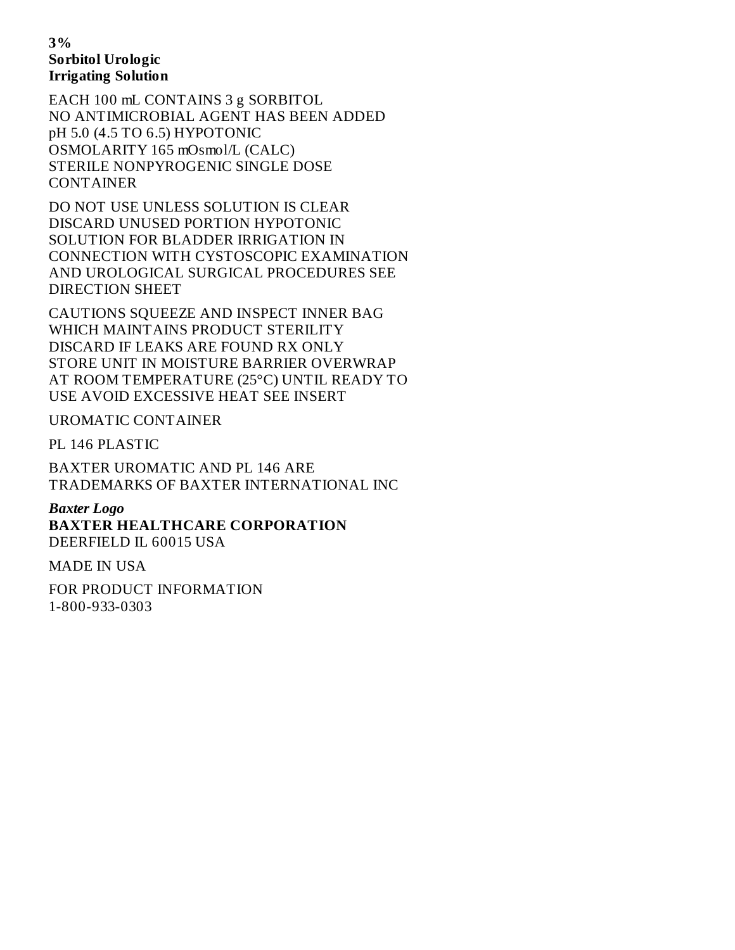#### **3% Sorbitol Urologic Irrigating Solution**

EACH 100 mL CONTAINS 3 g SORBITOL NO ANTIMICROBIAL AGENT HAS BEEN ADDED pH 5.0 (4.5 TO 6.5) HYPOTONIC OSMOLARITY 165 mOsmol/L (CALC) STERILE NONPYROGENIC SINGLE DOSE CONTAINER

DO NOT USE UNLESS SOLUTION IS CLEAR DISCARD UNUSED PORTION HYPOTONIC SOLUTION FOR BLADDER IRRIGATION IN CONNECTION WITH CYSTOSCOPIC EXAMINATION AND UROLOGICAL SURGICAL PROCEDURES SEE DIRECTION SHEET

CAUTIONS SQUEEZE AND INSPECT INNER BAG WHICH MAINTAINS PRODUCT STERILITY DISCARD IF LEAKS ARE FOUND RX ONLY STORE UNIT IN MOISTURE BARRIER OVERWRAP AT ROOM TEMPERATURE (25°C) UNTIL READY TO USE AVOID EXCESSIVE HEAT SEE INSERT

UROMATIC CONTAINER

PL 146 PLASTIC

BAXTER UROMATIC AND PL 146 ARE TRADEMARKS OF BAXTER INTERNATIONAL INC

*Baxter Logo* **BAXTER HEALTHCARE CORPORATION** DEERFIELD IL 60015 USA

MADE IN USA

FOR PRODUCT INFORMATION 1-800-933-0303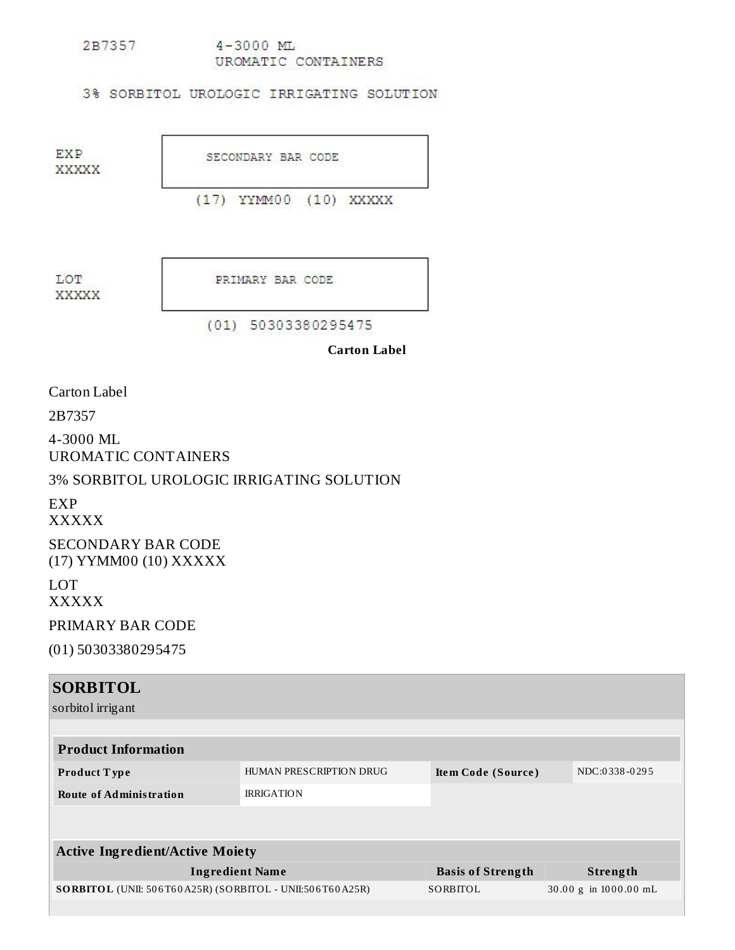2B7357  $4 - 3000$  ML UROMATIC CONTAINERS

3% SORBITOL UROLOGIC IRRIGATING SOLUTION

**EXP XXXXX** 

SECONDARY BAR CODE

(17) YYMM00 (10) XXXXX

LOT **XXXXX**  PRIMARY BAR CODE

 $(01) 50303380295475$ 

**Carton Label**

Carton Label

2B7357

4-3000 ML UROMATIC CONTAINERS

3% SORBITOL UROLOGIC IRRIGATING SOLUTION

EXP

XXXXX

SECONDARY BAR CODE (17) YYMM00 (10) XXXXX

LOT XXXXX

PRIMARY BAR CODE

(01) 50303380295475

| <b>SORBITOL</b>                                          |                         |                          |                       |
|----------------------------------------------------------|-------------------------|--------------------------|-----------------------|
| sorbitol irrigant                                        |                         |                          |                       |
|                                                          |                         |                          |                       |
| <b>Product Information</b>                               |                         |                          |                       |
| <b>Product Type</b>                                      | HUMAN PRESCRIPTION DRUG | Item Code (Source)       | NDC:0338-0295         |
| <b>Route of Administration</b>                           | <b>IRRIGATION</b>       |                          |                       |
|                                                          |                         |                          |                       |
|                                                          |                         |                          |                       |
| <b>Active Ingredient/Active Moiety</b>                   |                         |                          |                       |
| <b>Ingredient Name</b>                                   |                         | <b>Basis of Strength</b> | Strength              |
| SORBITOL (UNII: 506T60A25R) (SORBITOL - UNII:506T60A25R) |                         | SORBITOL                 | 30.00 g in 1000.00 mL |
|                                                          |                         |                          |                       |